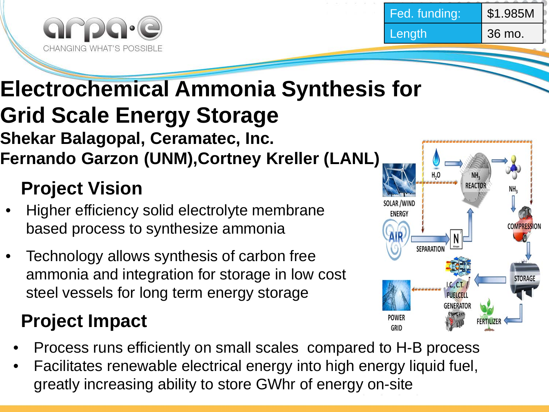



### **Electrochemical Ammonia Synthesis for Grid Scale Energy Storage Shekar Balagopal, Ceramatec, Inc. Fernando Garzon (UNM),Cortney Kreller (LANL)**

## **Project Vision**

- Higher efficiency solid electrolyte membrane based process to synthesize ammonia
- Technology allows synthesis of carbon free ammonia and integration for storage in low cost steel vessels for long term energy storage

## **Project Impact**

- Process runs efficiently on small scales compared to H-B process
- Facilitates renewable electrical energy into high energy liquid fuel, greatly increasing ability to store GWhr of energy on-site

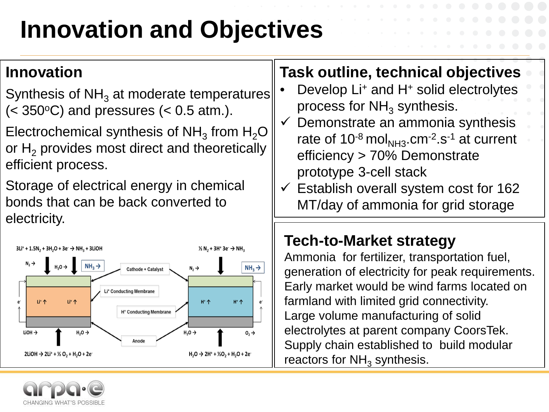# **Innovation and Objectives**

#### **Innovation**

Synthesis of  $NH<sub>3</sub>$  at moderate temperatures  $(< 350^{\circ}C$ ) and pressures  $(< 0.5$  atm.).

Electrochemical synthesis of NH<sub>3</sub> from H<sub>2</sub>O or  $H<sub>2</sub>$  provides most direct and theoretically efficient process.

Storage of electrical energy in chemical bonds that can be back converted to electricity.



#### **Task outline, technical objectives**

- Develop Li+ and H+ solid electrolytes process for  $NH<sub>3</sub>$  synthesis.
- $\checkmark$  Demonstrate an ammonia synthesis rate of  $10^{-8}$  mol<sub>NH3</sub>.cm<sup>-2</sup>.s<sup>-1</sup> at current efficiency > 70% Demonstrate prototype 3-cell stack
- $\checkmark$  Establish overall system cost for 162 MT/day of ammonia for grid storage

### **Tech-to-Market strategy**

Ammonia for fertilizer, transportation fuel, generation of electricity for peak requirements. Early market would be wind farms located on farmland with limited grid connectivity. Large volume manufacturing of solid electrolytes at parent company CoorsTek. Supply chain established to build modular reactors for  $NH<sub>3</sub>$  synthesis.

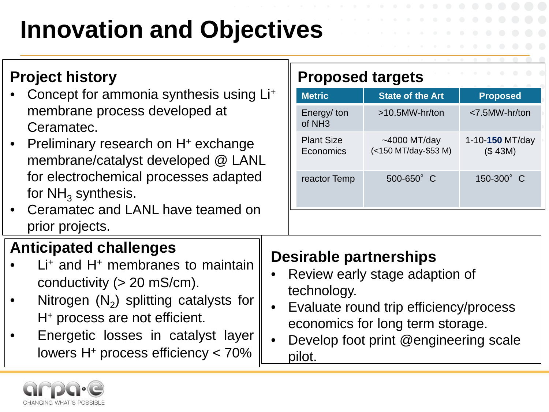# **Innovation and Objectives**

|  | <b>Project history</b> |
|--|------------------------|
|--|------------------------|

- Concept for ammonia synthesis using Li+ membrane process developed at Ceramatec.
- Preliminary research on H<sup>+</sup> exchange membrane/catalyst developed @ LANL for electrochemical processes adapted for  $NH<sub>3</sub>$  synthesis.
- Ceramatec and LANL have teamed on prior projects.

### **Anticipated challenges**

- $Li<sup>+</sup>$  and  $H<sup>+</sup>$  membranes to maintain conductivity  $(> 20 \text{ mS/cm})$ .
- Nitrogen  $(N_2)$  splitting catalysts for H+ process are not efficient.
- Energetic losses in catalyst layer lowers  $H<sup>+</sup>$  process efficiency  $<$  70%

#### **Proposed targets**

| <b>Metric</b>                    | <b>State of the Art</b>                    | <b>Proposed</b>            |
|----------------------------------|--------------------------------------------|----------------------------|
| Energy/ton<br>of NH <sub>3</sub> | $>10.5$ MW-hr/ton                          | <7.5MW-hr/ton              |
| <b>Plant Size</b><br>Economics   | $\sim$ 4000 MT/day<br>(<150 MT/day-\$53 M) | 1-10-150 MT/day<br>(\$43M) |
| reactor Temp                     | 500-650° C                                 | 150-300° C                 |

#### **Desirable partnerships**

- Review early stage adaption of technology.
- Evaluate round trip efficiency/process economics for long term storage.
- Develop foot print @engineering scale pilot.